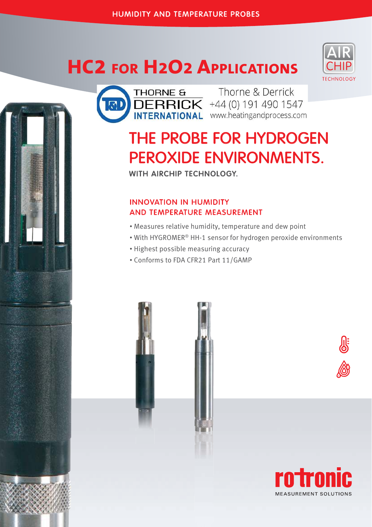# **HC2 FOR H2O2 APPLICATIONS**





Thorne & Derrick DERRICK +44 (0) 191 490 1547

## THE PROBE FOR HYDROGEN PEROXIDE ENVIRONMENTS.

WITH AIRCHIP TECHNOLOGY.

### INNOVATION IN HUMIDITY AND TEMPERATURE MEASUREMENT

- Measures relative humidity, temperature and dew point
- With HYGROMER® HH-1 sensor for hydrogen peroxide environments
- Highest possible measuring accuracy
- Conforms to FDA CFR21 Part 11/GAMP